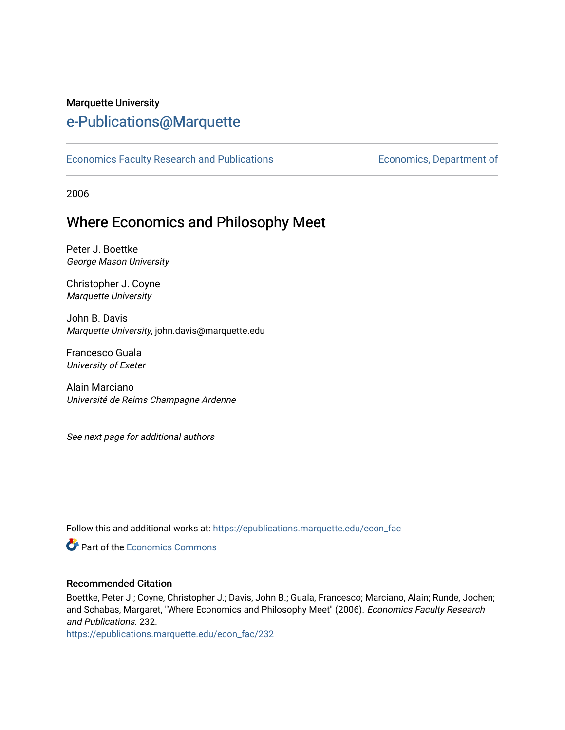#### Marquette University

## [e-Publications@Marquette](https://epublications.marquette.edu/)

[Economics Faculty Research and Publications](https://epublications.marquette.edu/econ_fac) **Economics**, Department of

2006

## Where Economics and Philosophy Meet

Peter J. Boettke George Mason University

Christopher J. Coyne Marquette University

John B. Davis Marquette University, john.davis@marquette.edu

Francesco Guala University of Exeter

Alain Marciano Université de Reims Champagne Ardenne

See next page for additional authors

Follow this and additional works at: [https://epublications.marquette.edu/econ\\_fac](https://epublications.marquette.edu/econ_fac?utm_source=epublications.marquette.edu%2Fecon_fac%2F232&utm_medium=PDF&utm_campaign=PDFCoverPages) 

**P** Part of the [Economics Commons](http://network.bepress.com/hgg/discipline/340?utm_source=epublications.marquette.edu%2Fecon_fac%2F232&utm_medium=PDF&utm_campaign=PDFCoverPages)

#### Recommended Citation

Boettke, Peter J.; Coyne, Christopher J.; Davis, John B.; Guala, Francesco; Marciano, Alain; Runde, Jochen; and Schabas, Margaret, "Where Economics and Philosophy Meet" (2006). Economics Faculty Research and Publications. 232.

[https://epublications.marquette.edu/econ\\_fac/232](https://epublications.marquette.edu/econ_fac/232?utm_source=epublications.marquette.edu%2Fecon_fac%2F232&utm_medium=PDF&utm_campaign=PDFCoverPages)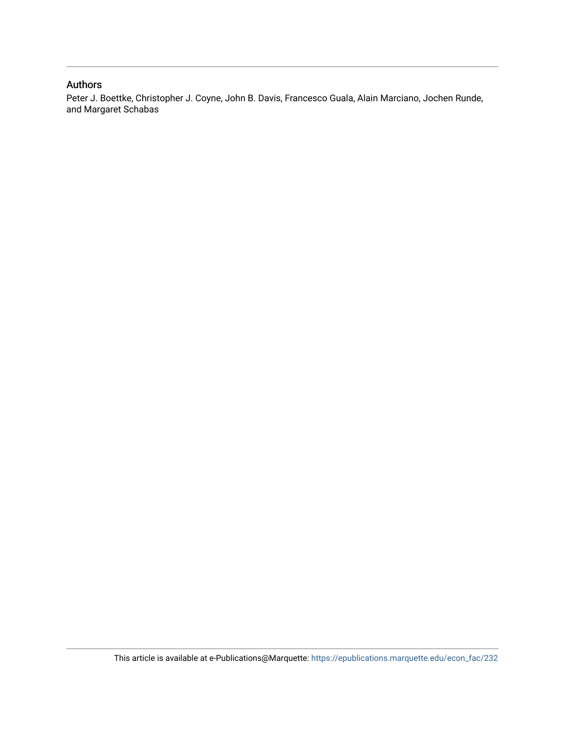#### Authors

Peter J. Boettke, Christopher J. Coyne, John B. Davis, Francesco Guala, Alain Marciano, Jochen Runde, and Margaret Schabas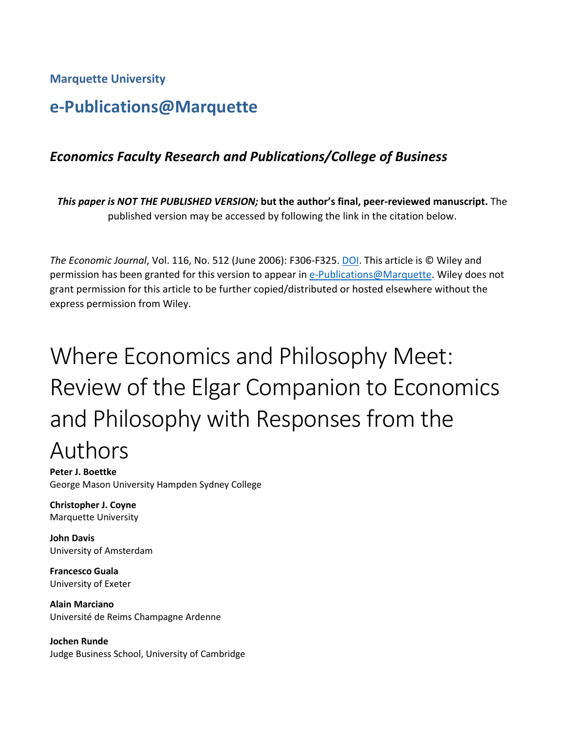**Marquette University**

# **e-Publications@Marquette**

## *Economics Faculty Research and Publications/College of Business*

*This paper is NOT THE PUBLISHED VERSION;* **but the author's final, peer-reviewed manuscript.** The published version may be accessed by following the link in the citation below.

*The Economic Journal*, Vol. 116, No. 512 (June 2006): F306-F325. DOI. This article is © Wiley and permission has been granted for this version to appear in [e-Publications@Marquette.](http://epublications.marquette.edu/) Wiley does not grant permission for this article to be further copied/distributed or hosted elsewhere without the express permission from Wiley.

# Where Economics and Philosophy Meet: Review of the Elgar Companion to Economics and Philosophy with Responses from the Authors

**Peter J. Boettke** George Mason University Hampden Sydney College

**Christopher J. Coyne** Marquette University

**John Davis** University of Amsterdam

**Francesco Guala** University of Exeter

**Alain Marciano** Université de Reims Champagne Ardenne

**Jochen Runde** Judge Business School, University of Cambridge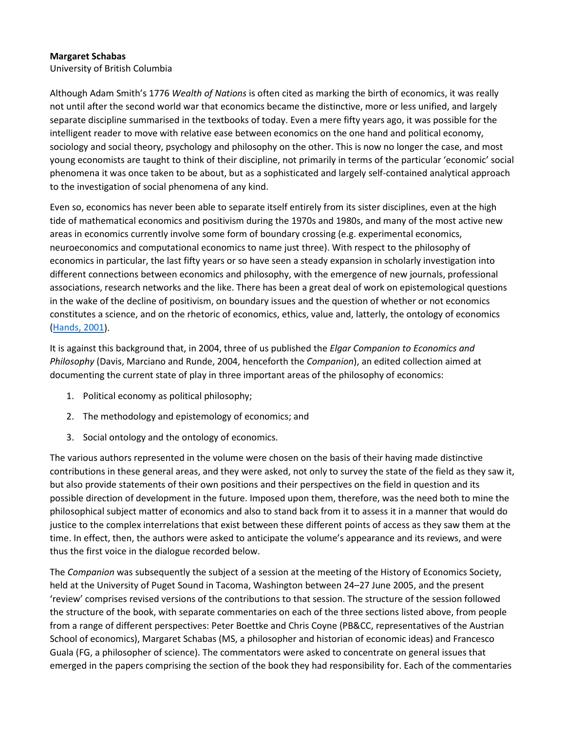#### **Margaret Schabas**

University of British Columbia

Although Adam Smith's 1776 *Wealth of Nations* is often cited as marking the birth of economics, it was really not until after the second world war that economics became the distinctive, more or less unified, and largely separate discipline summarised in the textbooks of today. Even a mere fifty years ago, it was possible for the intelligent reader to move with relative ease between economics on the one hand and political economy, sociology and social theory, psychology and philosophy on the other. This is now no longer the case, and most young economists are taught to think of their discipline, not primarily in terms of the particular 'economic' social phenomena it was once taken to be about, but as a sophisticated and largely self-contained analytical approach to the investigation of social phenomena of any kind.

Even so, economics has never been able to separate itself entirely from its sister disciplines, even at the high tide of mathematical economics and positivism during the 1970s and 1980s, and many of the most active new areas in economics currently involve some form of boundary crossing (e.g. experimental economics, neuroeconomics and computational economics to name just three). With respect to the philosophy of economics in particular, the last fifty years or so have seen a steady expansion in scholarly investigation into different connections between economics and philosophy, with the emergence of new journals, professional associations, research networks and the like. There has been a great deal of work on epistemological questions in the wake of the decline of positivism, on boundary issues and the question of whether or not economics constitutes a science, and on the rhetoric of economics, ethics, value and, latterly, the ontology of economics [\(Hands, 2001\)](javascript:;).

It is against this background that, in 2004, three of us published the *Elgar Companion to Economics and Philosophy* (Davis, Marciano and Runde, 2004, henceforth the *Companion*), an edited collection aimed at documenting the current state of play in three important areas of the philosophy of economics:

- 1. Political economy as political philosophy;
- 2. The methodology and epistemology of economics; and
- 3. Social ontology and the ontology of economics.

The various authors represented in the volume were chosen on the basis of their having made distinctive contributions in these general areas, and they were asked, not only to survey the state of the field as they saw it, but also provide statements of their own positions and their perspectives on the field in question and its possible direction of development in the future. Imposed upon them, therefore, was the need both to mine the philosophical subject matter of economics and also to stand back from it to assess it in a manner that would do justice to the complex interrelations that exist between these different points of access as they saw them at the time. In effect, then, the authors were asked to anticipate the volume's appearance and its reviews, and were thus the first voice in the dialogue recorded below.

The *Companion* was subsequently the subject of a session at the meeting of the History of Economics Society, held at the University of Puget Sound in Tacoma, Washington between 24–27 June 2005, and the present 'review' comprises revised versions of the contributions to that session. The structure of the session followed the structure of the book, with separate commentaries on each of the three sections listed above, from people from a range of different perspectives: Peter Boettke and Chris Coyne (PB&CC, representatives of the Austrian School of economics), Margaret Schabas (MS, a philosopher and historian of economic ideas) and Francesco Guala (FG, a philosopher of science). The commentators were asked to concentrate on general issues that emerged in the papers comprising the section of the book they had responsibility for. Each of the commentaries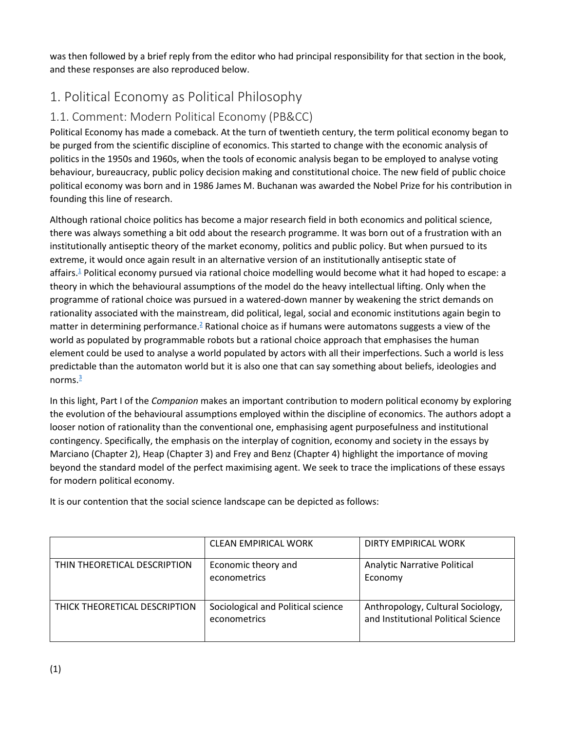was then followed by a brief reply from the editor who had principal responsibility for that section in the book, and these responses are also reproduced below.

# 1. Political Economy as Political Philosophy

## 1.1. Comment: Modern Political Economy (PB&CC)

Political Economy has made a comeback. At the turn of twentieth century, the term political economy began to be purged from the scientific discipline of economics. This started to change with the economic analysis of politics in the 1950s and 1960s, when the tools of economic analysis began to be employed to analyse voting behaviour, bureaucracy, public policy decision making and constitutional choice. The new field of public choice political economy was born and in 1986 James M. Buchanan was awarded the Nobel Prize for his contribution in founding this line of research.

Although rational choice politics has become a major research field in both economics and political science, there was always something a bit odd about the research programme. It was born out of a frustration with an institutionally antiseptic theory of the market economy, politics and public policy. But when pursued to its extreme, it would once again result in an alternative version of an institutionally antiseptic state of affairs.<sup>1</sup> Political economy pursued via rational choice modelling would become what it had hoped to escape: a theory in which the behavioural assumptions of the model do the heavy intellectual lifting. Only when the programme of rational choice was pursued in a watered-down manner by weakening the strict demands on rationality associated with the mainstream, did political, legal, social and economic institutions again begin to matter in determining performance.<sup>2</sup> Rational choice as if humans were automatons suggests a view of the world as populated by programmable robots but a rational choice approach that emphasises the human element could be used to analyse a world populated by actors with all their imperfections. Such a world is less predictable than the automaton world but it is also one that can say something about beliefs, ideologies and norms. $\frac{3}{2}$ 

In this light, Part I of the *Companion* makes an important contribution to modern political economy by exploring the evolution of the behavioural assumptions employed within the discipline of economics. The authors adopt a looser notion of rationality than the conventional one, emphasising agent purposefulness and institutional contingency. Specifically, the emphasis on the interplay of cognition, economy and society in the essays by Marciano (Chapter 2), Heap (Chapter 3) and Frey and Benz (Chapter 4) highlight the importance of moving beyond the standard model of the perfect maximising agent. We seek to trace the implications of these essays for modern political economy.

It is our contention that the social science landscape can be depicted as follows:

|                               | CLEAN EMPIRICAL WORK                               | DIRTY EMPIRICAL WORK                                                     |
|-------------------------------|----------------------------------------------------|--------------------------------------------------------------------------|
| THIN THEORETICAL DESCRIPTION  | Economic theory and<br>econometrics                | <b>Analytic Narrative Political</b><br>Economy                           |
| THICK THEORETICAL DESCRIPTION | Sociological and Political science<br>econometrics | Anthropology, Cultural Sociology,<br>and Institutional Political Science |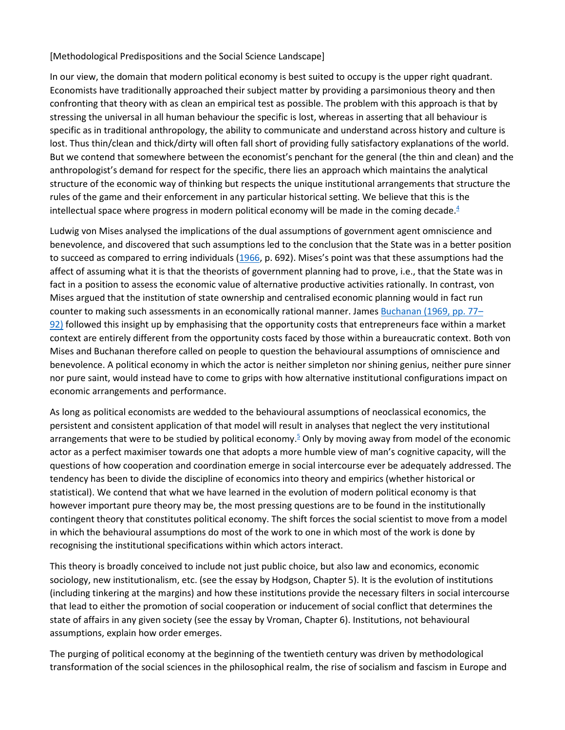[Methodological Predispositions and the Social Science Landscape]

In our view, the domain that modern political economy is best suited to occupy is the upper right quadrant. Economists have traditionally approached their subject matter by providing a parsimonious theory and then confronting that theory with as clean an empirical test as possible. The problem with this approach is that by stressing the universal in all human behaviour the specific is lost, whereas in asserting that all behaviour is specific as in traditional anthropology, the ability to communicate and understand across history and culture is lost. Thus thin/clean and thick/dirty will often fall short of providing fully satisfactory explanations of the world. But we contend that somewhere between the economist's penchant for the general (the thin and clean) and the anthropologist's demand for respect for the specific, there lies an approach which maintains the analytical structure of the economic way of thinking but respects the unique institutional arrangements that structure the rules of the game and their enforcement in any particular historical setting. We believe that this is the intellectual space where progress in modern political economy will be made in the coming decade. $4$ 

Ludwig von Mises analysed the implications of the dual assumptions of government agent omniscience and benevolence, and discovered that such assumptions led to the conclusion that the State was in a better position to succeed as compared to erring individuals [\(1966,](javascript:;) p. 692). Mises's point was that these assumptions had the affect of assuming what it is that the theorists of government planning had to prove, i.e., that the State was in fact in a position to assess the economic value of alternative productive activities rationally. In contrast, von Mises argued that the institution of state ownership and centralised economic planning would in fact run counter to making such assessments in an economically rational manner. James [Buchanan \(1969, pp. 77–](javascript:;) [92\)](javascript:;) followed this insight up by emphasising that the opportunity costs that entrepreneurs face within a market context are entirely different from the opportunity costs faced by those within a bureaucratic context. Both von Mises and Buchanan therefore called on people to question the behavioural assumptions of omniscience and benevolence. A political economy in which the actor is neither simpleton nor shining genius, neither pure sinner nor pure saint, would instead have to come to grips with how alternative institutional configurations impact on economic arrangements and performance.

As long as political economists are wedded to the behavioural assumptions of neoclassical economics, the persistent and consistent application of that model will result in analyses that neglect the very institutional arrangements that were to be studied by political economy.<sup>5</sup> Only by moving away from model of the economic actor as a perfect maximiser towards one that adopts a more humble view of man's cognitive capacity, will the questions of how cooperation and coordination emerge in social intercourse ever be adequately addressed. The tendency has been to divide the discipline of economics into theory and empirics (whether historical or statistical). We contend that what we have learned in the evolution of modern political economy is that however important pure theory may be, the most pressing questions are to be found in the institutionally contingent theory that constitutes political economy. The shift forces the social scientist to move from a model in which the behavioural assumptions do most of the work to one in which most of the work is done by recognising the institutional specifications within which actors interact.

This theory is broadly conceived to include not just public choice, but also law and economics, economic sociology, new institutionalism, etc. (see the essay by Hodgson, Chapter 5). It is the evolution of institutions (including tinkering at the margins) and how these institutions provide the necessary filters in social intercourse that lead to either the promotion of social cooperation or inducement of social conflict that determines the state of affairs in any given society (see the essay by Vroman, Chapter 6). Institutions, not behavioural assumptions, explain how order emerges.

The purging of political economy at the beginning of the twentieth century was driven by methodological transformation of the social sciences in the philosophical realm, the rise of socialism and fascism in Europe and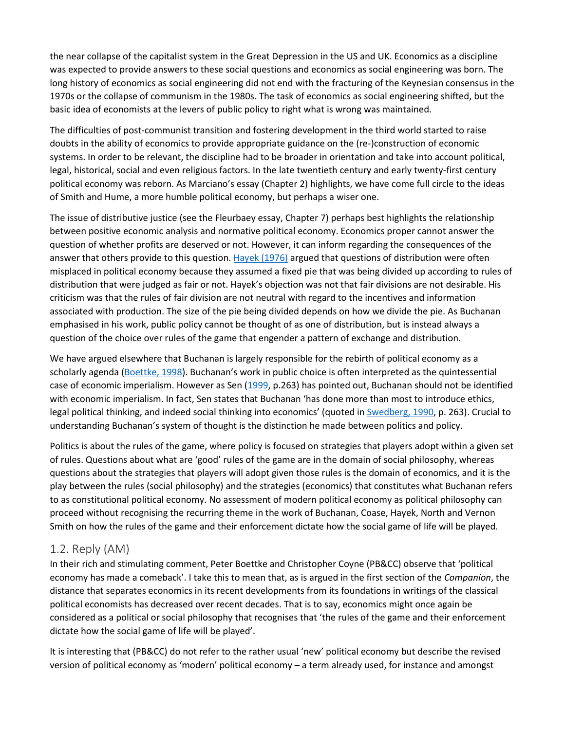the near collapse of the capitalist system in the Great Depression in the US and UK. Economics as a discipline was expected to provide answers to these social questions and economics as social engineering was born. The long history of economics as social engineering did not end with the fracturing of the Keynesian consensus in the 1970s or the collapse of communism in the 1980s. The task of economics as social engineering shifted, but the basic idea of economists at the levers of public policy to right what is wrong was maintained.

The difficulties of post-communist transition and fostering development in the third world started to raise doubts in the ability of economics to provide appropriate guidance on the (re-)construction of economic systems. In order to be relevant, the discipline had to be broader in orientation and take into account political, legal, historical, social and even religious factors. In the late twentieth century and early twenty-first century political economy was reborn. As Marciano's essay (Chapter 2) highlights, we have come full circle to the ideas of Smith and Hume, a more humble political economy, but perhaps a wiser one.

The issue of distributive justice (see the Fleurbaey essay, Chapter 7) perhaps best highlights the relationship between positive economic analysis and normative political economy. Economics proper cannot answer the question of whether profits are deserved or not. However, it can inform regarding the consequences of the answer that others provide to this question. [Hayek \(1976\)](javascript:;) argued that questions of distribution were often misplaced in political economy because they assumed a fixed pie that was being divided up according to rules of distribution that were judged as fair or not. Hayek's objection was not that fair divisions are not desirable. His criticism was that the rules of fair division are not neutral with regard to the incentives and information associated with production. The size of the pie being divided depends on how we divide the pie. As Buchanan emphasised in his work, public policy cannot be thought of as one of distribution, but is instead always a question of the choice over rules of the game that engender a pattern of exchange and distribution.

We have argued elsewhere that Buchanan is largely responsible for the rebirth of political economy as a scholarly agenda [\(Boettke, 1998\)](javascript:;). Buchanan's work in public choice is often interpreted as the quintessential case of economic imperialism. However as Sen [\(1999,](javascript:;) p.263) has pointed out, Buchanan should not be identified with economic imperialism. In fact, Sen states that Buchanan 'has done more than most to introduce ethics, legal political thinking, and indeed social thinking into economics' (quoted in [Swedberg, 1990,](javascript:;) p. 263). Crucial to understanding Buchanan's system of thought is the distinction he made between politics and policy.

Politics is about the rules of the game, where policy is focused on strategies that players adopt within a given set of rules. Questions about what are 'good' rules of the game are in the domain of social philosophy, whereas questions about the strategies that players will adopt given those rules is the domain of economics, and it is the play between the rules (social philosophy) and the strategies (economics) that constitutes what Buchanan refers to as constitutional political economy. No assessment of modern political economy as political philosophy can proceed without recognising the recurring theme in the work of Buchanan, Coase, Hayek, North and Vernon Smith on how the rules of the game and their enforcement dictate how the social game of life will be played.

#### 1.2. Reply (AM)

In their rich and stimulating comment, Peter Boettke and Christopher Coyne (PB&CC) observe that 'political economy has made a comeback'. I take this to mean that, as is argued in the first section of the *Companion*, the distance that separates economics in its recent developments from its foundations in writings of the classical political economists has decreased over recent decades. That is to say, economics might once again be considered as a political or social philosophy that recognises that 'the rules of the game and their enforcement dictate how the social game of life will be played'.

It is interesting that (PB&CC) do not refer to the rather usual 'new' political economy but describe the revised version of political economy as 'modern' political economy – a term already used, for instance and amongst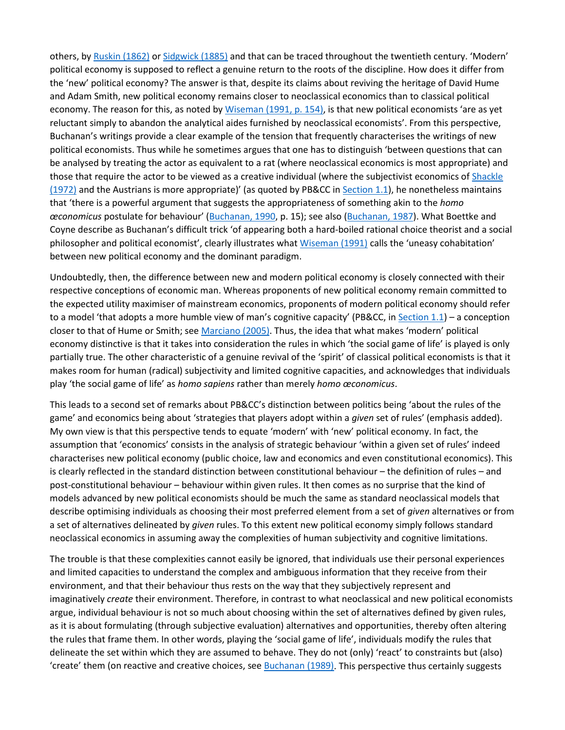others, by [Ruskin \(1862\)](javascript:;) or [Sidgwick \(1885\)](javascript:;) and that can be traced throughout the twentieth century. 'Modern' political economy is supposed to reflect a genuine return to the roots of the discipline. How does it differ from the 'new' political economy? The answer is that, despite its claims about reviving the heritage of David Hume and Adam Smith, new political economy remains closer to neoclassical economics than to classical political economy. The reason for this, as noted by [Wiseman \(1991, p. 154\),](javascript:;) is that new political economists 'are as yet reluctant simply to abandon the analytical aides furnished by neoclassical economists'. From this perspective, Buchanan's writings provide a clear example of the tension that frequently characterises the writings of new political economists. Thus while he sometimes argues that one has to distinguish 'between questions that can be analysed by treating the actor as equivalent to a rat (where neoclassical economics is most appropriate) and those that require the actor to be viewed as a creative individual (where the subjectivist economics of [Shackle](javascript:;)  [\(1972\)](javascript:;) and the Austrians is more appropriate)' (as quoted by PB&CC in [Section 1.1\)](https://academic.oup.com/ej/article/116/512/F306/5089368#ss3), he nonetheless maintains that 'there is a powerful argument that suggests the appropriateness of something akin to the *homo œconomicus* postulate for behaviour' [\(Buchanan, 1990,](javascript:;) p. 15); see also [\(Buchanan, 1987\)](javascript:;). What Boettke and Coyne describe as Buchanan's difficult trick 'of appearing both a hard-boiled rational choice theorist and a social philosopher and political economist', clearly illustrates what [Wiseman \(1991\)](javascript:;) calls the 'uneasy cohabitation' between new political economy and the dominant paradigm.

Undoubtedly, then, the difference between new and modern political economy is closely connected with their respective conceptions of economic man. Whereas proponents of new political economy remain committed to the expected utility maximiser of mainstream economics, proponents of modern political economy should refer to a model 'that adopts a more humble view of man's cognitive capacity' (PB&CC, in [Section 1.1\)](https://academic.oup.com/ej/article/116/512/F306/5089368#ss3) – a conception closer to that of Hume or Smith; see [Marciano \(2005\).](javascript:;) Thus, the idea that what makes 'modern' political economy distinctive is that it takes into consideration the rules in which 'the social game of life' is played is only partially true. The other characteristic of a genuine revival of the 'spirit' of classical political economists is that it makes room for human (radical) subjectivity and limited cognitive capacities, and acknowledges that individuals play 'the social game of life' as *homo sapiens* rather than merely *homo œconomicus*.

This leads to a second set of remarks about PB&CC's distinction between politics being 'about the rules of the game' and economics being about 'strategies that players adopt within a *given* set of rules' (emphasis added). My own view is that this perspective tends to equate 'modern' with 'new' political economy. In fact, the assumption that 'economics' consists in the analysis of strategic behaviour 'within a given set of rules' indeed characterises new political economy (public choice, law and economics and even constitutional economics). This is clearly reflected in the standard distinction between constitutional behaviour – the definition of rules – and post-constitutional behaviour – behaviour within given rules. It then comes as no surprise that the kind of models advanced by new political economists should be much the same as standard neoclassical models that describe optimising individuals as choosing their most preferred element from a set of *given* alternatives or from a set of alternatives delineated by *given* rules. To this extent new political economy simply follows standard neoclassical economics in assuming away the complexities of human subjectivity and cognitive limitations.

The trouble is that these complexities cannot easily be ignored, that individuals use their personal experiences and limited capacities to understand the complex and ambiguous information that they receive from their environment, and that their behaviour thus rests on the way that they subjectively represent and imaginatively *create* their environment. Therefore, in contrast to what neoclassical and new political economists argue, individual behaviour is not so much about choosing within the set of alternatives defined by given rules, as it is about formulating (through subjective evaluation) alternatives and opportunities, thereby often altering the rules that frame them. In other words, playing the 'social game of life', individuals modify the rules that delineate the set within which they are assumed to behave. They do not (only) 'react' to constraints but (also) 'create' them (on reactive and creative choices, see [Buchanan \(1989\).](javascript:;) This perspective thus certainly suggests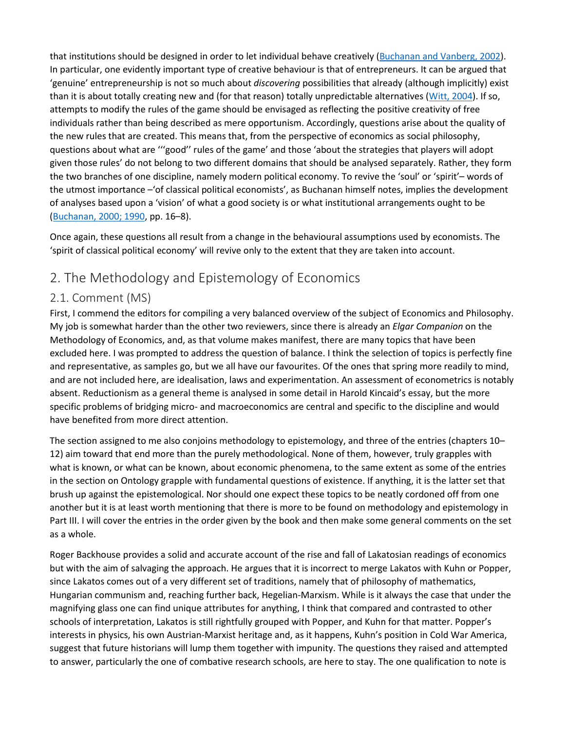that institutions should be designed in order to let individual behave creatively [\(Buchanan and Vanberg, 2002\)](javascript:;). In particular, one evidently important type of creative behaviour is that of entrepreneurs. It can be argued that 'genuine' entrepreneurship is not so much about *discovering* possibilities that already (although implicitly) exist than it is about totally creating new and (for that reason) totally unpredictable alternatives [\(Witt, 2004\)](javascript:;). If so, attempts to modify the rules of the game should be envisaged as reflecting the positive creativity of free individuals rather than being described as mere opportunism. Accordingly, questions arise about the quality of the new rules that are created. This means that, from the perspective of economics as social philosophy, questions about what are '''good'' rules of the game' and those 'about the strategies that players will adopt given those rules' do not belong to two different domains that should be analysed separately. Rather, they form the two branches of one discipline, namely modern political economy. To revive the 'soul' or 'spirit'– words of the utmost importance –'of classical political economists', as Buchanan himself notes, implies the development of analyses based upon a 'vision' of what a good society is or what institutional arrangements ought to be [\(Buchanan, 2000; 1990,](javascript:;) pp. 16–8).

Once again, these questions all result from a change in the behavioural assumptions used by economists. The 'spirit of classical political economy' will revive only to the extent that they are taken into account.

## 2. The Methodology and Epistemology of Economics

## 2.1. Comment (MS)

First, I commend the editors for compiling a very balanced overview of the subject of Economics and Philosophy. My job is somewhat harder than the other two reviewers, since there is already an *Elgar Companion* on the Methodology of Economics, and, as that volume makes manifest, there are many topics that have been excluded here. I was prompted to address the question of balance. I think the selection of topics is perfectly fine and representative, as samples go, but we all have our favourites. Of the ones that spring more readily to mind, and are not included here, are idealisation, laws and experimentation. An assessment of econometrics is notably absent. Reductionism as a general theme is analysed in some detail in Harold Kincaid's essay, but the more specific problems of bridging micro- and macroeconomics are central and specific to the discipline and would have benefited from more direct attention.

The section assigned to me also conjoins methodology to epistemology, and three of the entries (chapters 10– 12) aim toward that end more than the purely methodological. None of them, however, truly grapples with what is known, or what can be known, about economic phenomena, to the same extent as some of the entries in the section on Ontology grapple with fundamental questions of existence. If anything, it is the latter set that brush up against the epistemological. Nor should one expect these topics to be neatly cordoned off from one another but it is at least worth mentioning that there is more to be found on methodology and epistemology in Part III. I will cover the entries in the order given by the book and then make some general comments on the set as a whole.

Roger Backhouse provides a solid and accurate account of the rise and fall of Lakatosian readings of economics but with the aim of salvaging the approach. He argues that it is incorrect to merge Lakatos with Kuhn or Popper, since Lakatos comes out of a very different set of traditions, namely that of philosophy of mathematics, Hungarian communism and, reaching further back, Hegelian-Marxism. While is it always the case that under the magnifying glass one can find unique attributes for anything, I think that compared and contrasted to other schools of interpretation, Lakatos is still rightfully grouped with Popper, and Kuhn for that matter. Popper's interests in physics, his own Austrian-Marxist heritage and, as it happens, Kuhn's position in Cold War America, suggest that future historians will lump them together with impunity. The questions they raised and attempted to answer, particularly the one of combative research schools, are here to stay. The one qualification to note is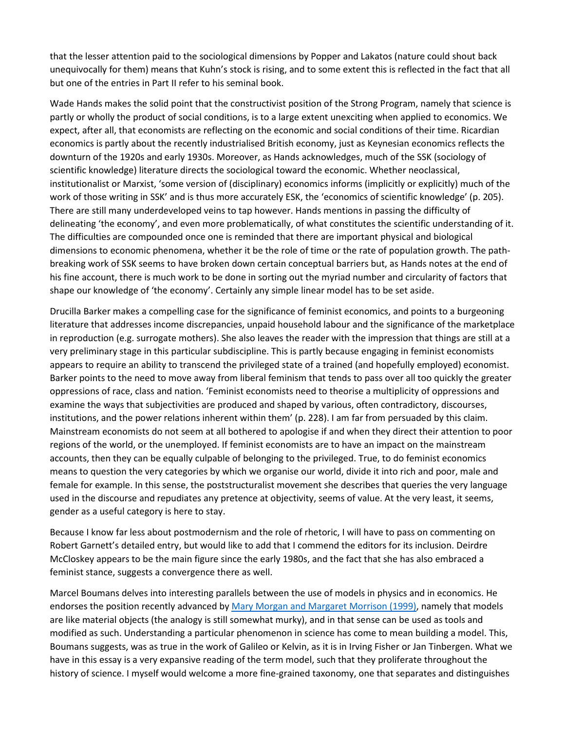that the lesser attention paid to the sociological dimensions by Popper and Lakatos (nature could shout back unequivocally for them) means that Kuhn's stock is rising, and to some extent this is reflected in the fact that all but one of the entries in Part II refer to his seminal book.

Wade Hands makes the solid point that the constructivist position of the Strong Program, namely that science is partly or wholly the product of social conditions, is to a large extent unexciting when applied to economics. We expect, after all, that economists are reflecting on the economic and social conditions of their time. Ricardian economics is partly about the recently industrialised British economy, just as Keynesian economics reflects the downturn of the 1920s and early 1930s. Moreover, as Hands acknowledges, much of the SSK (sociology of scientific knowledge) literature directs the sociological toward the economic. Whether neoclassical, institutionalist or Marxist, 'some version of (disciplinary) economics informs (implicitly or explicitly) much of the work of those writing in SSK' and is thus more accurately ESK, the 'economics of scientific knowledge' (p. 205). There are still many underdeveloped veins to tap however. Hands mentions in passing the difficulty of delineating 'the economy', and even more problematically, of what constitutes the scientific understanding of it. The difficulties are compounded once one is reminded that there are important physical and biological dimensions to economic phenomena, whether it be the role of time or the rate of population growth. The pathbreaking work of SSK seems to have broken down certain conceptual barriers but, as Hands notes at the end of his fine account, there is much work to be done in sorting out the myriad number and circularity of factors that shape our knowledge of 'the economy'. Certainly any simple linear model has to be set aside.

Drucilla Barker makes a compelling case for the significance of feminist economics, and points to a burgeoning literature that addresses income discrepancies, unpaid household labour and the significance of the marketplace in reproduction (e.g. surrogate mothers). She also leaves the reader with the impression that things are still at a very preliminary stage in this particular subdiscipline. This is partly because engaging in feminist economists appears to require an ability to transcend the privileged state of a trained (and hopefully employed) economist. Barker points to the need to move away from liberal feminism that tends to pass over all too quickly the greater oppressions of race, class and nation. 'Feminist economists need to theorise a multiplicity of oppressions and examine the ways that subjectivities are produced and shaped by various, often contradictory, discourses, institutions, and the power relations inherent within them' (p. 228). I am far from persuaded by this claim. Mainstream economists do not seem at all bothered to apologise if and when they direct their attention to poor regions of the world, or the unemployed. If feminist economists are to have an impact on the mainstream accounts, then they can be equally culpable of belonging to the privileged. True, to do feminist economics means to question the very categories by which we organise our world, divide it into rich and poor, male and female for example. In this sense, the poststructuralist movement she describes that queries the very language used in the discourse and repudiates any pretence at objectivity, seems of value. At the very least, it seems, gender as a useful category is here to stay.

Because I know far less about postmodernism and the role of rhetoric, I will have to pass on commenting on Robert Garnett's detailed entry, but would like to add that I commend the editors for its inclusion. Deirdre McCloskey appears to be the main figure since the early 1980s, and the fact that she has also embraced a feminist stance, suggests a convergence there as well.

Marcel Boumans delves into interesting parallels between the use of models in physics and in economics. He endorses the position recently advanced by [Mary Morgan and Margaret Morrison \(1999\),](javascript:;) namely that models are like material objects (the analogy is still somewhat murky), and in that sense can be used as tools and modified as such. Understanding a particular phenomenon in science has come to mean building a model. This, Boumans suggests, was as true in the work of Galileo or Kelvin, as it is in Irving Fisher or Jan Tinbergen. What we have in this essay is a very expansive reading of the term model, such that they proliferate throughout the history of science. I myself would welcome a more fine-grained taxonomy, one that separates and distinguishes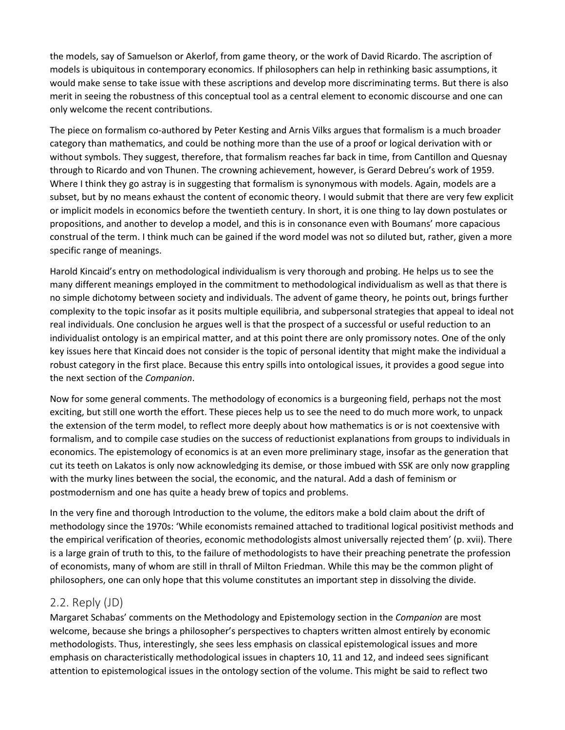the models, say of Samuelson or Akerlof, from game theory, or the work of David Ricardo. The ascription of models is ubiquitous in contemporary economics. If philosophers can help in rethinking basic assumptions, it would make sense to take issue with these ascriptions and develop more discriminating terms. But there is also merit in seeing the robustness of this conceptual tool as a central element to economic discourse and one can only welcome the recent contributions.

The piece on formalism co-authored by Peter Kesting and Arnis Vilks argues that formalism is a much broader category than mathematics, and could be nothing more than the use of a proof or logical derivation with or without symbols. They suggest, therefore, that formalism reaches far back in time, from Cantillon and Quesnay through to Ricardo and von Thunen. The crowning achievement, however, is Gerard Debreu's work of 1959. Where I think they go astray is in suggesting that formalism is synonymous with models. Again, models are a subset, but by no means exhaust the content of economic theory. I would submit that there are very few explicit or implicit models in economics before the twentieth century. In short, it is one thing to lay down postulates or propositions, and another to develop a model, and this is in consonance even with Boumans' more capacious construal of the term. I think much can be gained if the word model was not so diluted but, rather, given a more specific range of meanings.

Harold Kincaid's entry on methodological individualism is very thorough and probing. He helps us to see the many different meanings employed in the commitment to methodological individualism as well as that there is no simple dichotomy between society and individuals. The advent of game theory, he points out, brings further complexity to the topic insofar as it posits multiple equilibria, and subpersonal strategies that appeal to ideal not real individuals. One conclusion he argues well is that the prospect of a successful or useful reduction to an individualist ontology is an empirical matter, and at this point there are only promissory notes. One of the only key issues here that Kincaid does not consider is the topic of personal identity that might make the individual a robust category in the first place. Because this entry spills into ontological issues, it provides a good segue into the next section of the *Companion*.

Now for some general comments. The methodology of economics is a burgeoning field, perhaps not the most exciting, but still one worth the effort. These pieces help us to see the need to do much more work, to unpack the extension of the term model, to reflect more deeply about how mathematics is or is not coextensive with formalism, and to compile case studies on the success of reductionist explanations from groups to individuals in economics. The epistemology of economics is at an even more preliminary stage, insofar as the generation that cut its teeth on Lakatos is only now acknowledging its demise, or those imbued with SSK are only now grappling with the murky lines between the social, the economic, and the natural. Add a dash of feminism or postmodernism and one has quite a heady brew of topics and problems.

In the very fine and thorough Introduction to the volume, the editors make a bold claim about the drift of methodology since the 1970s: 'While economists remained attached to traditional logical positivist methods and the empirical verification of theories, economic methodologists almost universally rejected them' (p. xvii). There is a large grain of truth to this, to the failure of methodologists to have their preaching penetrate the profession of economists, many of whom are still in thrall of Milton Friedman. While this may be the common plight of philosophers, one can only hope that this volume constitutes an important step in dissolving the divide.

#### 2.2. Reply (JD)

Margaret Schabas' comments on the Methodology and Epistemology section in the *Companion* are most welcome, because she brings a philosopher's perspectives to chapters written almost entirely by economic methodologists. Thus, interestingly, she sees less emphasis on classical epistemological issues and more emphasis on characteristically methodological issues in chapters 10, 11 and 12, and indeed sees significant attention to epistemological issues in the ontology section of the volume. This might be said to reflect two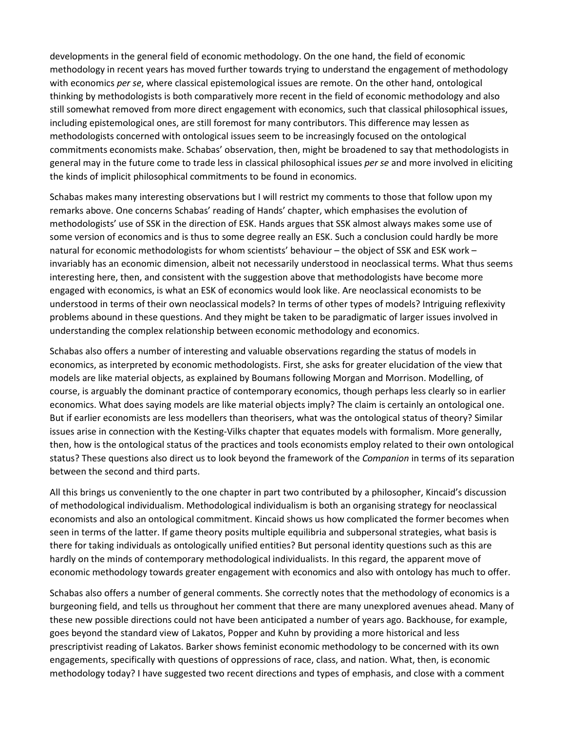developments in the general field of economic methodology. On the one hand, the field of economic methodology in recent years has moved further towards trying to understand the engagement of methodology with economics *per se*, where classical epistemological issues are remote. On the other hand, ontological thinking by methodologists is both comparatively more recent in the field of economic methodology and also still somewhat removed from more direct engagement with economics, such that classical philosophical issues, including epistemological ones, are still foremost for many contributors. This difference may lessen as methodologists concerned with ontological issues seem to be increasingly focused on the ontological commitments economists make. Schabas' observation, then, might be broadened to say that methodologists in general may in the future come to trade less in classical philosophical issues *per se* and more involved in eliciting the kinds of implicit philosophical commitments to be found in economics.

Schabas makes many interesting observations but I will restrict my comments to those that follow upon my remarks above. One concerns Schabas' reading of Hands' chapter, which emphasises the evolution of methodologists' use of SSK in the direction of ESK. Hands argues that SSK almost always makes some use of some version of economics and is thus to some degree really an ESK. Such a conclusion could hardly be more natural for economic methodologists for whom scientists' behaviour – the object of SSK and ESK work – invariably has an economic dimension, albeit not necessarily understood in neoclassical terms. What thus seems interesting here, then, and consistent with the suggestion above that methodologists have become more engaged with economics, is what an ESK of economics would look like. Are neoclassical economists to be understood in terms of their own neoclassical models? In terms of other types of models? Intriguing reflexivity problems abound in these questions. And they might be taken to be paradigmatic of larger issues involved in understanding the complex relationship between economic methodology and economics.

Schabas also offers a number of interesting and valuable observations regarding the status of models in economics, as interpreted by economic methodologists. First, she asks for greater elucidation of the view that models are like material objects, as explained by Boumans following Morgan and Morrison. Modelling, of course, is arguably the dominant practice of contemporary economics, though perhaps less clearly so in earlier economics. What does saying models are like material objects imply? The claim is certainly an ontological one. But if earlier economists are less modellers than theorisers, what was the ontological status of theory? Similar issues arise in connection with the Kesting-Vilks chapter that equates models with formalism. More generally, then, how is the ontological status of the practices and tools economists employ related to their own ontological status? These questions also direct us to look beyond the framework of the *Companion* in terms of its separation between the second and third parts.

All this brings us conveniently to the one chapter in part two contributed by a philosopher, Kincaid's discussion of methodological individualism. Methodological individualism is both an organising strategy for neoclassical economists and also an ontological commitment. Kincaid shows us how complicated the former becomes when seen in terms of the latter. If game theory posits multiple equilibria and subpersonal strategies, what basis is there for taking individuals as ontologically unified entities? But personal identity questions such as this are hardly on the minds of contemporary methodological individualists. In this regard, the apparent move of economic methodology towards greater engagement with economics and also with ontology has much to offer.

Schabas also offers a number of general comments. She correctly notes that the methodology of economics is a burgeoning field, and tells us throughout her comment that there are many unexplored avenues ahead. Many of these new possible directions could not have been anticipated a number of years ago. Backhouse, for example, goes beyond the standard view of Lakatos, Popper and Kuhn by providing a more historical and less prescriptivist reading of Lakatos. Barker shows feminist economic methodology to be concerned with its own engagements, specifically with questions of oppressions of race, class, and nation. What, then, is economic methodology today? I have suggested two recent directions and types of emphasis, and close with a comment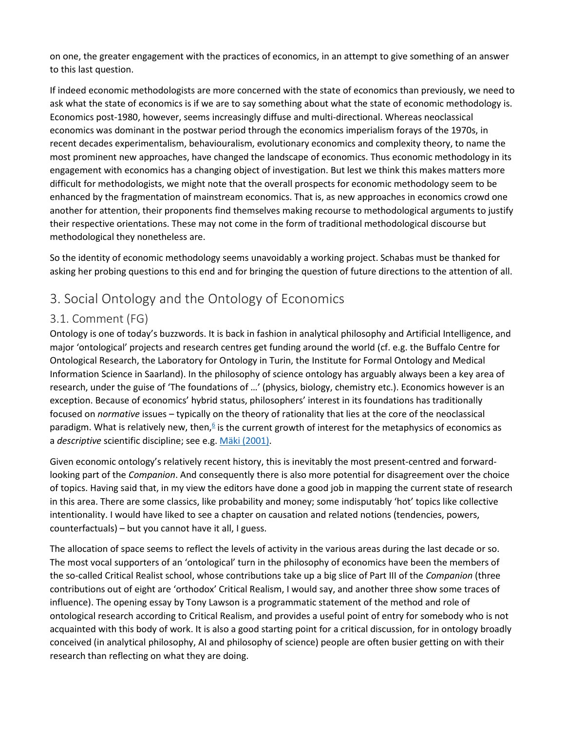on one, the greater engagement with the practices of economics, in an attempt to give something of an answer to this last question.

If indeed economic methodologists are more concerned with the state of economics than previously, we need to ask what the state of economics is if we are to say something about what the state of economic methodology is. Economics post-1980, however, seems increasingly diffuse and multi-directional. Whereas neoclassical economics was dominant in the postwar period through the economics imperialism forays of the 1970s, in recent decades experimentalism, behaviouralism, evolutionary economics and complexity theory, to name the most prominent new approaches, have changed the landscape of economics. Thus economic methodology in its engagement with economics has a changing object of investigation. But lest we think this makes matters more difficult for methodologists, we might note that the overall prospects for economic methodology seem to be enhanced by the fragmentation of mainstream economics. That is, as new approaches in economics crowd one another for attention, their proponents find themselves making recourse to methodological arguments to justify their respective orientations. These may not come in the form of traditional methodological discourse but methodological they nonetheless are.

So the identity of economic methodology seems unavoidably a working project. Schabas must be thanked for asking her probing questions to this end and for bringing the question of future directions to the attention of all.

## 3. Social Ontology and the Ontology of Economics

## 3.1. Comment (FG)

Ontology is one of today's buzzwords. It is back in fashion in analytical philosophy and Artificial Intelligence, and major 'ontological' projects and research centres get funding around the world (cf. e.g. the Buffalo Centre for Ontological Research, the Laboratory for Ontology in Turin, the Institute for Formal Ontology and Medical Information Science in Saarland). In the philosophy of science ontology has arguably always been a key area of research, under the guise of 'The foundations of …' (physics, biology, chemistry etc.). Economics however is an exception. Because of economics' hybrid status, philosophers' interest in its foundations has traditionally focused on *normative* issues – typically on the theory of rationality that lies at the core of the neoclassical paradigm. What is relatively new, then,<sup>6</sup> is the current growth of interest for the metaphysics of economics as a *descriptive* scientific discipline; see e.g. [Mäki \(2001\).](javascript:;)

Given economic ontology's relatively recent history, this is inevitably the most present-centred and forwardlooking part of the *Companion*. And consequently there is also more potential for disagreement over the choice of topics. Having said that, in my view the editors have done a good job in mapping the current state of research in this area. There are some classics, like probability and money; some indisputably 'hot' topics like collective intentionality. I would have liked to see a chapter on causation and related notions (tendencies, powers, counterfactuals) – but you cannot have it all, I guess.

The allocation of space seems to reflect the levels of activity in the various areas during the last decade or so. The most vocal supporters of an 'ontological' turn in the philosophy of economics have been the members of the so-called Critical Realist school, whose contributions take up a big slice of Part III of the *Companion* (three contributions out of eight are 'orthodox' Critical Realism, I would say, and another three show some traces of influence). The opening essay by Tony Lawson is a programmatic statement of the method and role of ontological research according to Critical Realism, and provides a useful point of entry for somebody who is not acquainted with this body of work. It is also a good starting point for a critical discussion, for in ontology broadly conceived (in analytical philosophy, AI and philosophy of science) people are often busier getting on with their research than reflecting on what they are doing.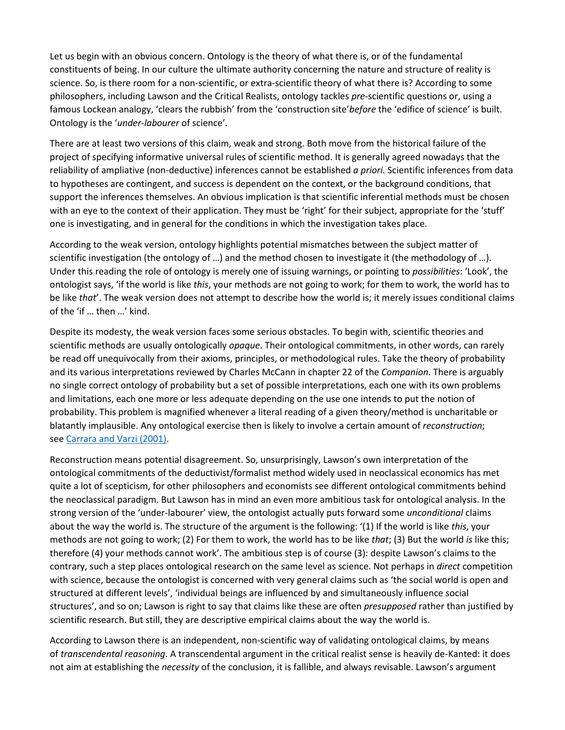Let us begin with an obvious concern. Ontology is the theory of what there is, or of the fundamental constituents of being. In our culture the ultimate authority concerning the nature and structure of reality is science. So, is there room for a non-scientific, or extra-scientific theory of what there is? According to some philosophers, including Lawson and the Critical Realists, ontology tackles *pre*-scientific questions or, using a famous Lockean analogy, 'clears the rubbish' from the 'construction site'*before* the 'edifice of science' is built. Ontology is the '*under‐labourer* of science'.

There are at least two versions of this claim, weak and strong. Both move from the historical failure of the project of specifying informative universal rules of scientific method. It is generally agreed nowadays that the reliability of ampliative (non-deductive) inferences cannot be established *a priori*. Scientific inferences from data to hypotheses are contingent, and success is dependent on the context, or the background conditions, that support the inferences themselves. An obvious implication is that scientific inferential methods must be chosen with an eye to the context of their application. They must be 'right' for their subject, appropriate for the 'stuff' one is investigating, and in general for the conditions in which the investigation takes place.

According to the weak version, ontology highlights potential mismatches between the subject matter of scientific investigation (the ontology of …) and the method chosen to investigate it (the methodology of …). Under this reading the role of ontology is merely one of issuing warnings, or pointing to *possibilities*: 'Look', the ontologist says, 'if the world is like *this*, your methods are not going to work; for them to work, the world has to be like *that*'. The weak version does not attempt to describe how the world is; it merely issues conditional claims of the 'if … then …' kind.

Despite its modesty, the weak version faces some serious obstacles. To begin with, scientific theories and scientific methods are usually ontologically *opaque*. Their ontological commitments, in other words, can rarely be read off unequivocally from their axioms, principles, or methodological rules. Take the theory of probability and its various interpretations reviewed by Charles McCann in chapter 22 of the *Companion*. There is arguably no single correct ontology of probability but a set of possible interpretations, each one with its own problems and limitations, each one more or less adequate depending on the use one intends to put the notion of probability. This problem is magnified whenever a literal reading of a given theory/method is uncharitable or blatantly implausible. Any ontological exercise then is likely to involve a certain amount of *reconstruction*; see [Carrara and Varzi \(2001\).](javascript:;)

Reconstruction means potential disagreement. So, unsurprisingly, Lawson's own interpretation of the ontological commitments of the deductivist/formalist method widely used in neoclassical economics has met quite a lot of scepticism, for other philosophers and economists see different ontological commitments behind the neoclassical paradigm. But Lawson has in mind an even more ambitious task for ontological analysis. In the strong version of the 'under-labourer' view, the ontologist actually puts forward some *unconditional* claims about the way the world is. The structure of the argument is the following: '(1) If the world is like *this*, your methods are not going to work; (2) For them to work, the world has to be like *that*; (3) But the world *is* like this; therefore (4) your methods cannot work'. The ambitious step is of course (3): despite Lawson's claims to the contrary, such a step places ontological research on the same level as science. Not perhaps in *direct* competition with science, because the ontologist is concerned with very general claims such as 'the social world is open and structured at different levels', 'individual beings are influenced by and simultaneously influence social structures', and so on; Lawson is right to say that claims like these are often *presupposed* rather than justified by scientific research. But still, they are descriptive empirical claims about the way the world is.

According to Lawson there is an independent, non-scientific way of validating ontological claims, by means of *transcendental reasoning*. A transcendental argument in the critical realist sense is heavily de-Kanted: it does not aim at establishing the *necessity* of the conclusion, it is fallible, and always revisable. Lawson's argument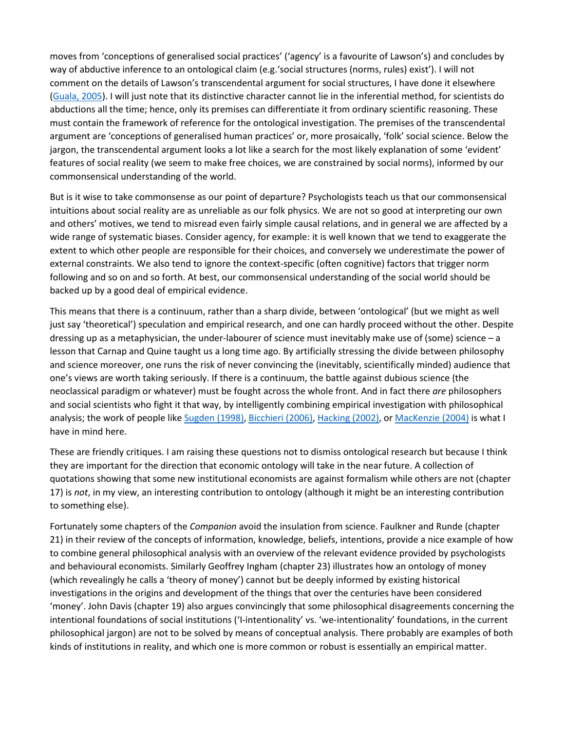moves from 'conceptions of generalised social practices' ('agency' is a favourite of Lawson's) and concludes by way of abductive inference to an ontological claim (e.g.'social structures (norms, rules) exist'). I will not comment on the details of Lawson's transcendental argument for social structures, I have done it elsewhere [\(Guala, 2005\)](javascript:;). I will just note that its distinctive character cannot lie in the inferential method, for scientists do abductions all the time; hence, only its premises can differentiate it from ordinary scientific reasoning. These must contain the framework of reference for the ontological investigation. The premises of the transcendental argument are 'conceptions of generalised human practices' or, more prosaically, 'folk' social science. Below the jargon, the transcendental argument looks a lot like a search for the most likely explanation of some 'evident' features of social reality (we seem to make free choices, we are constrained by social norms), informed by our commonsensical understanding of the world.

But is it wise to take commonsense as our point of departure? Psychologists teach us that our commonsensical intuitions about social reality are as unreliable as our folk physics. We are not so good at interpreting our own and others' motives, we tend to misread even fairly simple causal relations, and in general we are affected by a wide range of systematic biases. Consider agency, for example: it is well known that we tend to exaggerate the extent to which other people are responsible for their choices, and conversely we underestimate the power of external constraints. We also tend to ignore the context-specific (often cognitive) factors that trigger norm following and so on and so forth. At best, our commonsensical understanding of the social world should be backed up by a good deal of empirical evidence.

This means that there is a continuum, rather than a sharp divide, between 'ontological' (but we might as well just say 'theoretical') speculation and empirical research, and one can hardly proceed without the other. Despite dressing up as a metaphysician, the under-labourer of science must inevitably make use of (some) science – a lesson that Carnap and Quine taught us a long time ago. By artificially stressing the divide between philosophy and science moreover, one runs the risk of never convincing the (inevitably, scientifically minded) audience that one's views are worth taking seriously. If there is a continuum, the battle against dubious science (the neoclassical paradigm or whatever) must be fought across the whole front. And in fact there *are* philosophers and social scientists who fight it that way, by intelligently combining empirical investigation with philosophical analysis; the work of people like [Sugden \(1998\),](javascript:;) [Bicchieri \(2006\),](javascript:;) [Hacking \(2002\),](javascript:;) or [MacKenzie \(2004\)](javascript:;) is what I have in mind here.

These are friendly critiques. I am raising these questions not to dismiss ontological research but because I think they are important for the direction that economic ontology will take in the near future. A collection of quotations showing that some new institutional economists are against formalism while others are not (chapter 17) is *not*, in my view, an interesting contribution to ontology (although it might be an interesting contribution to something else).

Fortunately some chapters of the *Companion* avoid the insulation from science. Faulkner and Runde (chapter 21) in their review of the concepts of information, knowledge, beliefs, intentions, provide a nice example of how to combine general philosophical analysis with an overview of the relevant evidence provided by psychologists and behavioural economists. Similarly Geoffrey Ingham (chapter 23) illustrates how an ontology of money (which revealingly he calls a 'theory of money') cannot but be deeply informed by existing historical investigations in the origins and development of the things that over the centuries have been considered 'money'. John Davis (chapter 19) also argues convincingly that some philosophical disagreements concerning the intentional foundations of social institutions ('I-intentionality' vs. 'we-intentionality' foundations, in the current philosophical jargon) are not to be solved by means of conceptual analysis. There probably are examples of both kinds of institutions in reality, and which one is more common or robust is essentially an empirical matter.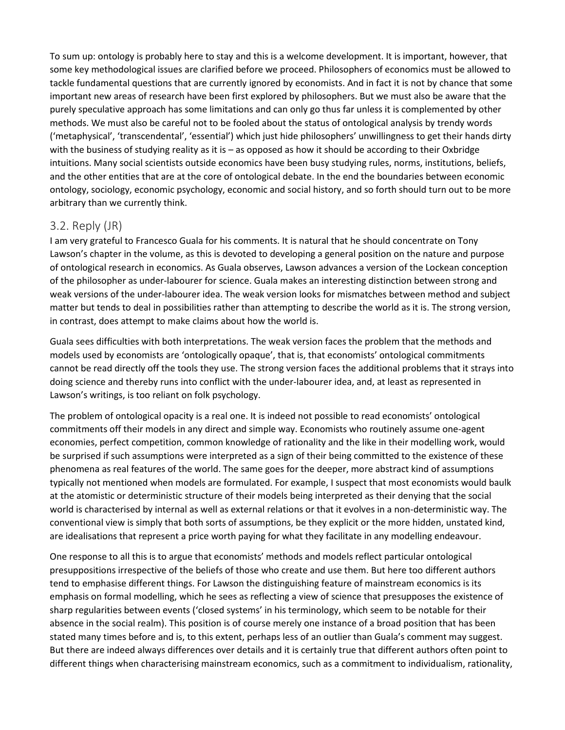To sum up: ontology is probably here to stay and this is a welcome development. It is important, however, that some key methodological issues are clarified before we proceed. Philosophers of economics must be allowed to tackle fundamental questions that are currently ignored by economists. And in fact it is not by chance that some important new areas of research have been first explored by philosophers. But we must also be aware that the purely speculative approach has some limitations and can only go thus far unless it is complemented by other methods. We must also be careful not to be fooled about the status of ontological analysis by trendy words ('metaphysical', 'transcendental', 'essential') which just hide philosophers' unwillingness to get their hands dirty with the business of studying reality as it is – as opposed as how it should be according to their Oxbridge intuitions. Many social scientists outside economics have been busy studying rules, norms, institutions, beliefs, and the other entities that are at the core of ontological debate. In the end the boundaries between economic ontology, sociology, economic psychology, economic and social history, and so forth should turn out to be more arbitrary than we currently think.

#### 3.2. Reply (JR)

I am very grateful to Francesco Guala for his comments. It is natural that he should concentrate on Tony Lawson's chapter in the volume, as this is devoted to developing a general position on the nature and purpose of ontological research in economics. As Guala observes, Lawson advances a version of the Lockean conception of the philosopher as under-labourer for science. Guala makes an interesting distinction between strong and weak versions of the under-labourer idea. The weak version looks for mismatches between method and subject matter but tends to deal in possibilities rather than attempting to describe the world as it is. The strong version, in contrast, does attempt to make claims about how the world is.

Guala sees difficulties with both interpretations. The weak version faces the problem that the methods and models used by economists are 'ontologically opaque', that is, that economists' ontological commitments cannot be read directly off the tools they use. The strong version faces the additional problems that it strays into doing science and thereby runs into conflict with the under-labourer idea, and, at least as represented in Lawson's writings, is too reliant on folk psychology.

The problem of ontological opacity is a real one. It is indeed not possible to read economists' ontological commitments off their models in any direct and simple way. Economists who routinely assume one-agent economies, perfect competition, common knowledge of rationality and the like in their modelling work, would be surprised if such assumptions were interpreted as a sign of their being committed to the existence of these phenomena as real features of the world. The same goes for the deeper, more abstract kind of assumptions typically not mentioned when models are formulated. For example, I suspect that most economists would baulk at the atomistic or deterministic structure of their models being interpreted as their denying that the social world is characterised by internal as well as external relations or that it evolves in a non-deterministic way. The conventional view is simply that both sorts of assumptions, be they explicit or the more hidden, unstated kind, are idealisations that represent a price worth paying for what they facilitate in any modelling endeavour.

One response to all this is to argue that economists' methods and models reflect particular ontological presuppositions irrespective of the beliefs of those who create and use them. But here too different authors tend to emphasise different things. For Lawson the distinguishing feature of mainstream economics is its emphasis on formal modelling, which he sees as reflecting a view of science that presupposes the existence of sharp regularities between events ('closed systems' in his terminology, which seem to be notable for their absence in the social realm). This position is of course merely one instance of a broad position that has been stated many times before and is, to this extent, perhaps less of an outlier than Guala's comment may suggest. But there are indeed always differences over details and it is certainly true that different authors often point to different things when characterising mainstream economics, such as a commitment to individualism, rationality,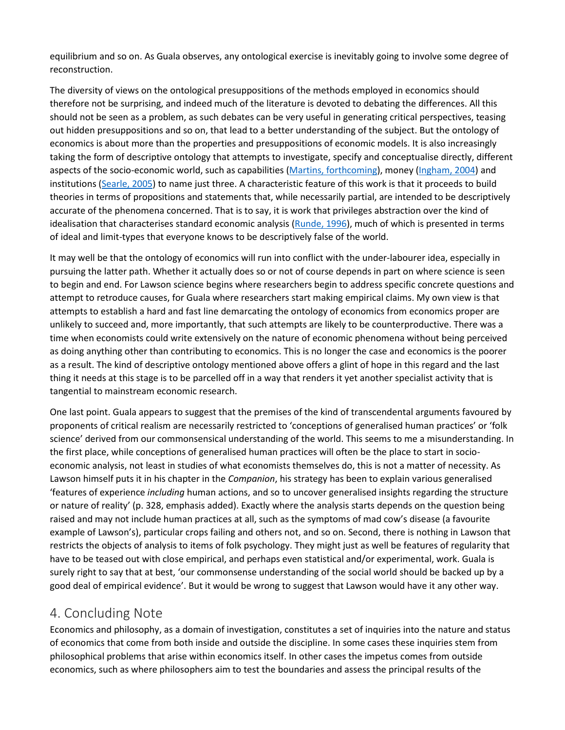equilibrium and so on. As Guala observes, any ontological exercise is inevitably going to involve some degree of reconstruction.

The diversity of views on the ontological presuppositions of the methods employed in economics should therefore not be surprising, and indeed much of the literature is devoted to debating the differences. All this should not be seen as a problem, as such debates can be very useful in generating critical perspectives, teasing out hidden presuppositions and so on, that lead to a better understanding of the subject. But the ontology of economics is about more than the properties and presuppositions of economic models. It is also increasingly taking the form of descriptive ontology that attempts to investigate, specify and conceptualise directly, different aspects of the socio-economic world, such as capabilities [\(Martins, forthcoming\)](javascript:;), money [\(Ingham, 2004\)](javascript:;) and institutions [\(Searle, 2005\)](javascript:;) to name just three. A characteristic feature of this work is that it proceeds to build theories in terms of propositions and statements that, while necessarily partial, are intended to be descriptively accurate of the phenomena concerned. That is to say, it is work that privileges abstraction over the kind of idealisation that characterises standard economic analysis [\(Runde, 1996\)](javascript:;), much of which is presented in terms of ideal and limit-types that everyone knows to be descriptively false of the world.

It may well be that the ontology of economics will run into conflict with the under-labourer idea, especially in pursuing the latter path. Whether it actually does so or not of course depends in part on where science is seen to begin and end. For Lawson science begins where researchers begin to address specific concrete questions and attempt to retroduce causes, for Guala where researchers start making empirical claims. My own view is that attempts to establish a hard and fast line demarcating the ontology of economics from economics proper are unlikely to succeed and, more importantly, that such attempts are likely to be counterproductive. There was a time when economists could write extensively on the nature of economic phenomena without being perceived as doing anything other than contributing to economics. This is no longer the case and economics is the poorer as a result. The kind of descriptive ontology mentioned above offers a glint of hope in this regard and the last thing it needs at this stage is to be parcelled off in a way that renders it yet another specialist activity that is tangential to mainstream economic research.

One last point. Guala appears to suggest that the premises of the kind of transcendental arguments favoured by proponents of critical realism are necessarily restricted to 'conceptions of generalised human practices' or 'folk science' derived from our commonsensical understanding of the world. This seems to me a misunderstanding. In the first place, while conceptions of generalised human practices will often be the place to start in socioeconomic analysis, not least in studies of what economists themselves do, this is not a matter of necessity. As Lawson himself puts it in his chapter in the *Companion*, his strategy has been to explain various generalised 'features of experience *including* human actions, and so to uncover generalised insights regarding the structure or nature of reality' (p. 328, emphasis added). Exactly where the analysis starts depends on the question being raised and may not include human practices at all, such as the symptoms of mad cow's disease (a favourite example of Lawson's), particular crops failing and others not, and so on. Second, there is nothing in Lawson that restricts the objects of analysis to items of folk psychology. They might just as well be features of regularity that have to be teased out with close empirical, and perhaps even statistical and/or experimental, work. Guala is surely right to say that at best, 'our commonsense understanding of the social world should be backed up by a good deal of empirical evidence'. But it would be wrong to suggest that Lawson would have it any other way.

## 4. Concluding Note

Economics and philosophy, as a domain of investigation, constitutes a set of inquiries into the nature and status of economics that come from both inside and outside the discipline. In some cases these inquiries stem from philosophical problems that arise within economics itself. In other cases the impetus comes from outside economics, such as where philosophers aim to test the boundaries and assess the principal results of the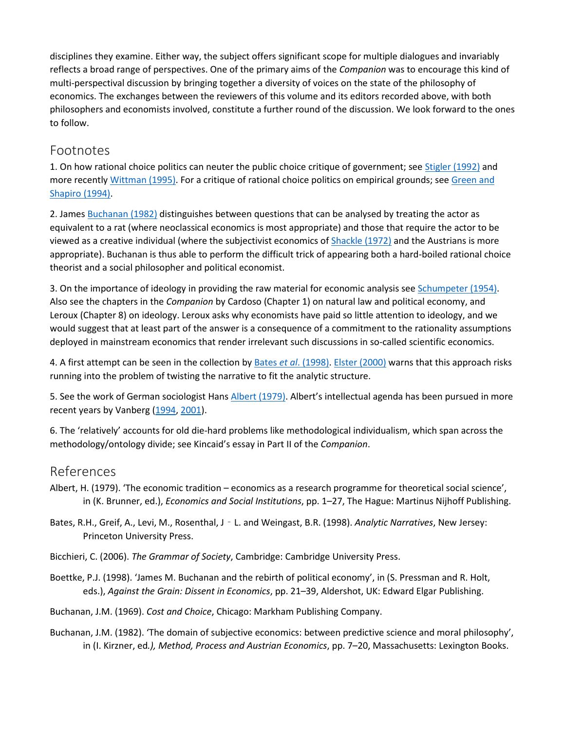disciplines they examine. Either way, the subject offers significant scope for multiple dialogues and invariably reflects a broad range of perspectives. One of the primary aims of the *Companion* was to encourage this kind of multi-perspectival discussion by bringing together a diversity of voices on the state of the philosophy of economics. The exchanges between the reviewers of this volume and its editors recorded above, with both philosophers and economists involved, constitute a further round of the discussion. We look forward to the ones to follow.

## Footnotes

1. On how rational choice politics can neuter the public choice critique of government; see [Stigler \(1992\)](javascript:;) and more recently [Wittman \(1995\).](javascript:;) For a critique of rational choice politics on empirical grounds; see [Green and](javascript:;)  [Shapiro \(1994\).](javascript:;)

2. James [Buchanan \(1982\)](javascript:;) distinguishes between questions that can be analysed by treating the actor as equivalent to a rat (where neoclassical economics is most appropriate) and those that require the actor to be viewed as a creative individual (where the subjectivist economics of [Shackle \(1972\)](javascript:;) and the Austrians is more appropriate). Buchanan is thus able to perform the difficult trick of appearing both a hard-boiled rational choice theorist and a social philosopher and political economist.

3. On the importance of ideology in providing the raw material for economic analysis see [Schumpeter \(1954\).](javascript:;) Also see the chapters in the *Companion* by Cardoso (Chapter 1) on natural law and political economy, and Leroux (Chapter 8) on ideology. Leroux asks why economists have paid so little attention to ideology, and we would suggest that at least part of the answer is a consequence of a commitment to the rationality assumptions deployed in mainstream economics that render irrelevant such discussions in so-called scientific economics.

4. A first attempt can be seen in the collection by Bates *et al*[. \(1998\).](javascript:;) [Elster \(2000\)](javascript:;) warns that this approach risks running into the problem of twisting the narrative to fit the analytic structure.

5. See the work of German sociologist Hans [Albert \(1979\).](javascript:;) Albert's intellectual agenda has been pursued in more recent years by Vanberg [\(1994,](javascript:;) [2001\)](javascript:;).

6. The 'relatively' accounts for old die-hard problems like methodological individualism, which span across the methodology/ontology divide; see Kincaid's essay in Part II of the *Companion*.

## References

- Albert, H. (1979). 'The economic tradition economics as a research programme for theoretical social science', in (K. Brunner, ed.), *Economics and Social Institutions*, pp. 1–27, The Hague: Martinus Nijhoff Publishing.
- Bates, R.H., Greif, A., Levi, M., Rosenthal, J‐L. and Weingast, B.R. (1998). *Analytic Narratives*, New Jersey: Princeton University Press.
- Bicchieri, C. (2006). *The Grammar of Society*, Cambridge: Cambridge University Press.
- Boettke, P.J. (1998). 'James M. Buchanan and the rebirth of political economy', in (S. Pressman and R. Holt, eds.), *Against the Grain: Dissent in Economics*, pp. 21–39, Aldershot, UK: Edward Elgar Publishing.
- Buchanan, J.M. (1969). *Cost and Choice*, Chicago: Markham Publishing Company.
- Buchanan, J.M. (1982). 'The domain of subjective economics: between predictive science and moral philosophy', in (I. Kirzner, ed*.), Method, Process and Austrian Economics*, pp. 7–20, Massachusetts: Lexington Books.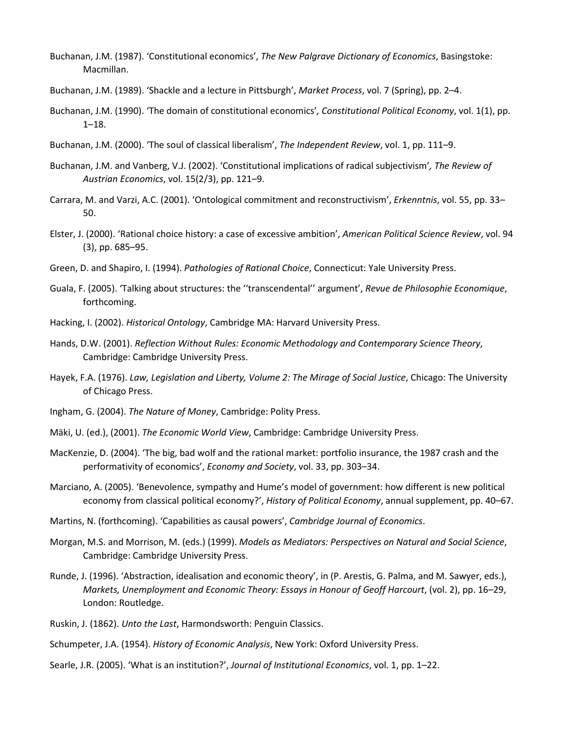- Buchanan, J.M. (1987). 'Constitutional economics', *The New Palgrave Dictionary of Economics*, Basingstoke: Macmillan.
- Buchanan, J.M. (1989). 'Shackle and a lecture in Pittsburgh', *Market Process*, vol. 7 (Spring), pp. 2–4.
- Buchanan, J.M. (1990). 'The domain of constitutional economics'*, Constitutional Political Economy*, vol. 1(1), pp. 1–18.
- Buchanan, J.M. (2000). 'The soul of classical liberalism', *The Independent Review*, vol. 1, pp. 111–9.
- Buchanan, J.M. and Vanberg, V.J. (2002). 'Constitutional implications of radical subjectivism'*, The Review of Austrian Economics*, vol. 15(2/3), pp. 121–9.
- Carrara, M. and Varzi, A.C. (2001). 'Ontological commitment and reconstructivism', *Erkenntnis*, vol. 55, pp. 33– 50.
- Elster, J. (2000). 'Rational choice history: a case of excessive ambition', *American Political Science Review*, vol. 94 (3), pp. 685–95.
- Green, D. and Shapiro, I. (1994). *Pathologies of Rational Choice*, Connecticut: Yale University Press.
- Guala, F. (2005). 'Talking about structures: the ''transcendental'' argument', *Revue de Philosophie Economique*, forthcoming.
- Hacking, I. (2002). *Historical Ontology*, Cambridge MA: Harvard University Press.
- Hands, D.W. (2001). *Reflection Without Rules: Economic Methodology and Contemporary Science Theory*, Cambridge: Cambridge University Press.
- Hayek, F.A. (1976). *Law, Legislation and Liberty, Volume 2: The Mirage of Social Justice*, Chicago: The University of Chicago Press.
- Ingham, G. (2004). *The Nature of Money*, Cambridge: Polity Press.
- Mäki, U. (ed.), (2001). *The Economic World View*, Cambridge: Cambridge University Press.
- MacKenzie, D. (2004). 'The big, bad wolf and the rational market: portfolio insurance, the 1987 crash and the performativity of economics', *Economy and Society*, vol. 33, pp. 303–34.
- Marciano, A. (2005). 'Benevolence, sympathy and Hume's model of government: how different is new political economy from classical political economy?', *History of Political Economy*, annual supplement, pp. 40–67.
- Martins, N. (forthcoming). 'Capabilities as causal powers', *Cambridge Journal of Economics*.
- Morgan, M.S. and Morrison, M. (eds.) (1999). *Models as Mediators: Perspectives on Natural and Social Science*, Cambridge: Cambridge University Press.
- Runde, J. (1996). 'Abstraction, idealisation and economic theory', in (P. Arestis, G. Palma, and M. Sawyer, eds.), *Markets, Unemployment and Economic Theory: Essays in Honour of Geoff Harcourt*, (vol. 2), pp. 16–29, London: Routledge.
- Ruskin, J. (1862). *Unto the Last*, Harmondsworth: Penguin Classics.
- Schumpeter, J.A. (1954). *History of Economic Analysis*, New York: Oxford University Press.
- Searle, J.R. (2005). 'What is an institution?', *Journal of Institutional Economics*, vol. 1, pp. 1–22.